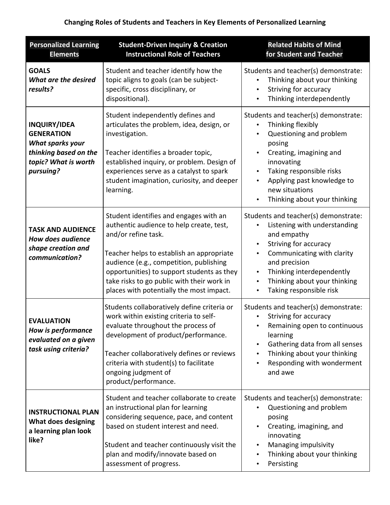| <b>Personalized Learning</b><br><b>Elements</b>                                                                            | <b>Student-Driven Inquiry &amp; Creation</b><br><b>Instructional Role of Teachers</b>                                                                                                                                                                                                                                                     | <b>Related Habits of Mind</b><br>for Student and Teacher                                                                                                                                                                                                                                                                          |
|----------------------------------------------------------------------------------------------------------------------------|-------------------------------------------------------------------------------------------------------------------------------------------------------------------------------------------------------------------------------------------------------------------------------------------------------------------------------------------|-----------------------------------------------------------------------------------------------------------------------------------------------------------------------------------------------------------------------------------------------------------------------------------------------------------------------------------|
| <b>GOALS</b><br>What are the desired<br>results?                                                                           | Student and teacher identify how the<br>topic aligns to goals (can be subject-<br>specific, cross disciplinary, or<br>dispositional).                                                                                                                                                                                                     | Students and teacher(s) demonstrate:<br>Thinking about your thinking<br>$\bullet$<br>Striving for accuracy<br>$\bullet$<br>Thinking interdependently<br>$\bullet$                                                                                                                                                                 |
| <b>INQUIRY/IDEA</b><br><b>GENERATION</b><br>What sparks your<br>thinking based on the<br>topic? What is worth<br>pursuing? | Student independently defines and<br>articulates the problem, idea, design, or<br>investigation.<br>Teacher identifies a broader topic,<br>established inquiry, or problem. Design of<br>experiences serve as a catalyst to spark<br>student imagination, curiosity, and deeper<br>learning.                                              | Students and teacher(s) demonstrate:<br>Thinking flexibly<br>$\bullet$<br>Questioning and problem<br>٠<br>posing<br>Creating, imagining and<br>$\bullet$<br>innovating<br>Taking responsible risks<br>$\bullet$<br>Applying past knowledge to<br>$\bullet$<br>new situations<br>Thinking about your thinking<br>$\bullet$         |
| <b>TASK AND AUDIENCE</b><br><b>How does audience</b><br>shape creation and<br>communication?                               | Student identifies and engages with an<br>authentic audience to help create, test,<br>and/or refine task.<br>Teacher helps to establish an appropriate<br>audience (e.g., competition, publishing<br>opportunities) to support students as they<br>take risks to go public with their work in<br>places with potentially the most impact. | Students and teacher(s) demonstrate:<br>Listening with understanding<br>$\bullet$<br>and empathy<br>Striving for accuracy<br>$\bullet$<br>Communicating with clarity<br>$\bullet$<br>and precision<br>Thinking interdependently<br>$\bullet$<br>Thinking about your thinking<br>$\bullet$<br>Taking responsible risk<br>$\bullet$ |
| <b>EVALUATION</b><br>How is performance<br>evaluated on a given<br>task using criteria?                                    | Students collaboratively define criteria or<br>work within existing criteria to self-<br>evaluate throughout the process of<br>development of product/performance.<br>Teacher collaboratively defines or reviews<br>criteria with student(s) to facilitate<br>ongoing judgment of<br>product/performance.                                 | Students and teacher(s) demonstrate:<br>Striving for accuracy<br>$\bullet$<br>Remaining open to continuous<br>learning<br>Gathering data from all senses<br>$\bullet$<br>Thinking about your thinking<br>$\bullet$<br>Responding with wonderment<br>٠<br>and awe                                                                  |
| <b>INSTRUCTIONAL PLAN</b><br><b>What does designing</b><br>a learning plan look<br>like?                                   | Student and teacher collaborate to create<br>an instructional plan for learning<br>considering sequence, pace, and content<br>based on student interest and need.<br>Student and teacher continuously visit the<br>plan and modify/innovate based on<br>assessment of progress.                                                           | Students and teacher(s) demonstrate:<br>Questioning and problem<br>$\bullet$<br>posing<br>Creating, imagining, and<br>$\bullet$<br>innovating<br>Managing impulsivity<br>$\bullet$<br>Thinking about your thinking<br>$\bullet$<br>Persisting<br>$\bullet$                                                                        |